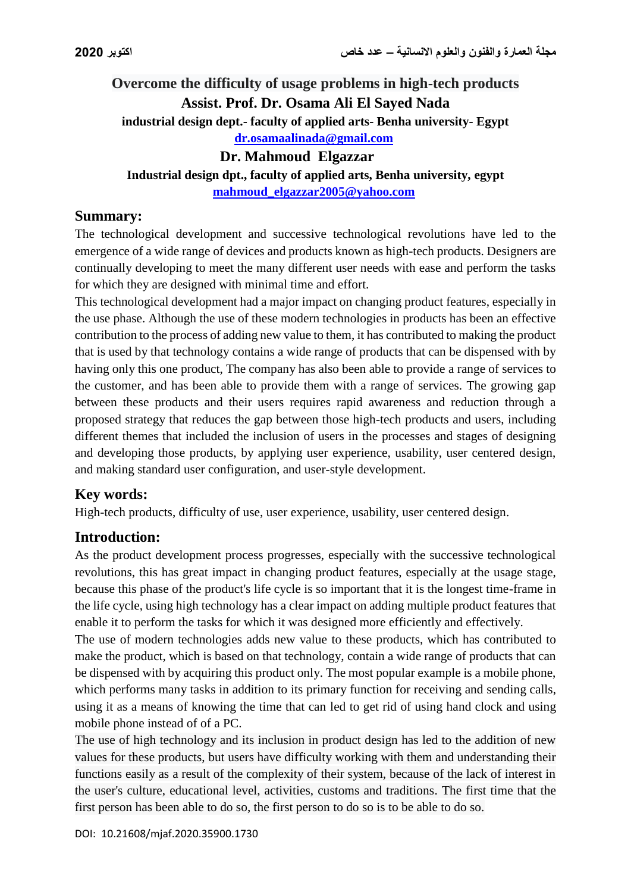# **Overcome the difficulty of usage problems in high-tech products Assist. Prof. Dr. Osama Ali El Sayed Nada industrial design dept.- faculty of applied arts- Benha university- Egypt**

**[dr.osamaalinada@gmail.com](mailto:dr.osamaalinada@gmail.com)**

**Dr. Mahmoud Elgazzar**

**Industrial design dpt., faculty of applied arts, Benha university, egypt**

**[mahmoud\\_elgazzar2005@yahoo.com](mailto:mahmoud_elgazzar2005@yahoo.com)**

### **Summary:**

The technological development and successive technological revolutions have led to the emergence of a wide range of devices and products known as high-tech products. Designers are continually developing to meet the many different user needs with ease and perform the tasks for which they are designed with minimal time and effort.

This technological development had a major impact on changing product features, especially in the use phase. Although the use of these modern technologies in products has been an effective contribution to the process of adding new value to them, it has contributed to making the product that is used by that technology contains a wide range of products that can be dispensed with by having only this one product, The company has also been able to provide a range of services to the customer, and has been able to provide them with a range of services. The growing gap between these products and their users requires rapid awareness and reduction through a proposed strategy that reduces the gap between those high-tech products and users, including different themes that included the inclusion of users in the processes and stages of designing and developing those products, by applying user experience, usability, user centered design, and making standard user configuration, and user-style development.

## **Key words:**

High-tech products, difficulty of use, user experience, usability, user centered design.

## **Introduction:**

As the product development process progresses, especially with the successive technological revolutions, this has great impact in changing product features, especially at the usage stage, because this phase of the product's life cycle is so important that it is the longest time-frame in the life cycle, using high technology has a clear impact on adding multiple product features that enable it to perform the tasks for which it was designed more efficiently and effectively.

The use of modern technologies adds new value to these products, which has contributed to make the product, which is based on that technology, contain a wide range of products that can be dispensed with by acquiring this product only. The most popular example is a mobile phone, which performs many tasks in addition to its primary function for receiving and sending calls, using it as a means of knowing the time that can led to get rid of using hand clock and using mobile phone instead of of a PC.

The use of high technology and its inclusion in product design has led to the addition of new values for these products, but users have difficulty working with them and understanding their functions easily as a result of the complexity of their system, because of the lack of interest in the user's culture, educational level, activities, customs and traditions. The first time that the first person has been able to do so, the first person to do so is to be able to do so.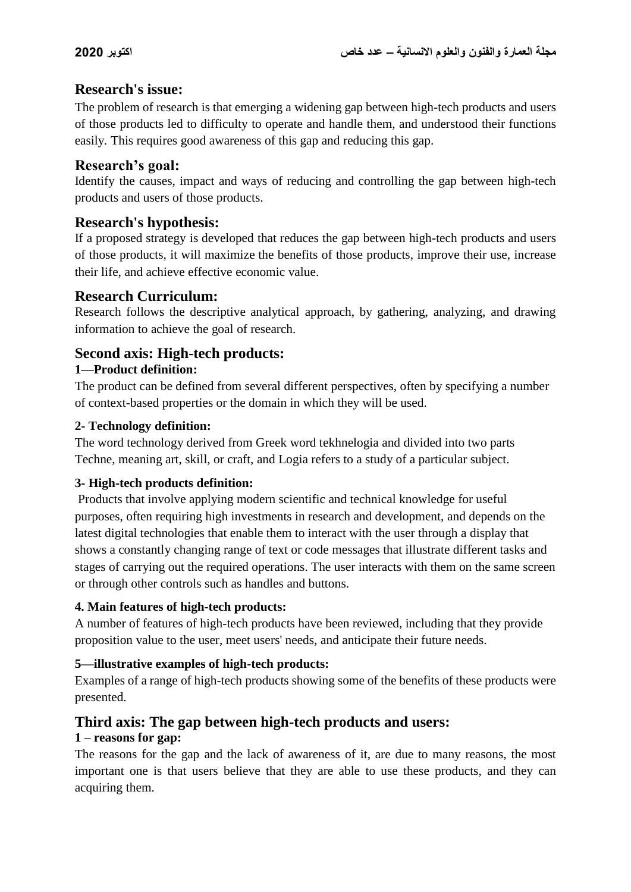## **Research's issue:**

The problem of research is that emerging a widening gap between high-tech products and users of those products led to difficulty to operate and handle them, and understood their functions easily. This requires good awareness of this gap and reducing this gap.

#### **Research's goal:**

Identify the causes, impact and ways of reducing and controlling the gap between high-tech products and users of those products.

### **Research's hypothesis:**

If a proposed strategy is developed that reduces the gap between high-tech products and users of those products, it will maximize the benefits of those products, improve their use, increase their life, and achieve effective economic value.

### **Research Curriculum:**

Research follows the descriptive analytical approach, by gathering, analyzing, and drawing information to achieve the goal of research.

## **Second axis: High-tech products:**

#### **1—Product definition:**

The product can be defined from several different perspectives, often by specifying a number of context-based properties or the domain in which they will be used.

#### **2- Technology definition:**

The word technology derived from Greek word tekhnelogia and divided into two parts Techne, meaning art, skill, or craft, and Logia refers to a study of a particular subject.

#### **3- High-tech products definition:**

Products that involve applying modern scientific and technical knowledge for useful purposes, often requiring high investments in research and development, and depends on the latest digital technologies that enable them to interact with the user through a display that shows a constantly changing range of text or code messages that illustrate different tasks and stages of carrying out the required operations. The user interacts with them on the same screen or through other controls such as handles and buttons.

#### **4. Main features of high-tech products:**

A number of features of high-tech products have been reviewed, including that they provide proposition value to the user, meet users' needs, and anticipate their future needs.

#### **5—illustrative examples of high-tech products:**

Examples of a range of high-tech products showing some of the benefits of these products were presented.

## **Third axis: The gap between high-tech products and users:**

#### **1 – reasons for gap:**

The reasons for the gap and the lack of awareness of it, are due to many reasons, the most important one is that users believe that they are able to use these products, and they can acquiring them.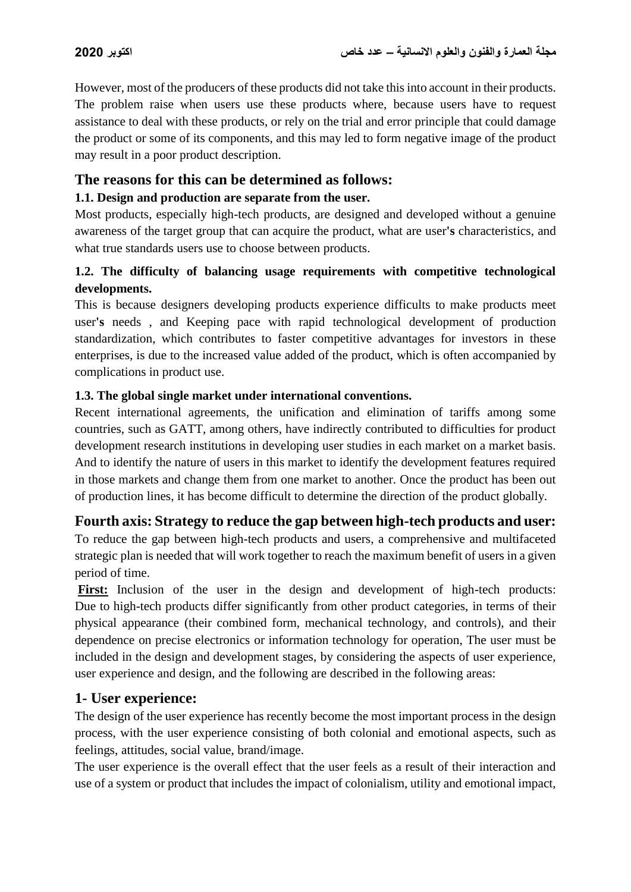However, most of the producers of these products did not take this into account in their products. The problem raise when users use these products where, because users have to request assistance to deal with these products, or rely on the trial and error principle that could damage the product or some of its components, and this may led to form negative image of the product may result in a poor product description.

### **The reasons for this can be determined as follows:**

#### **1.1. Design and production are separate from the user.**

Most products, especially high-tech products, are designed and developed without a genuine awareness of the target group that can acquire the product, what are user**'s** characteristics, and what true standards users use to choose between products.

#### **1.2. The difficulty of balancing usage requirements with competitive technological developments.**

This is because designers developing products experience difficults to make products meet user**'s** needs , and Keeping pace with rapid technological development of production standardization, which contributes to faster competitive advantages for investors in these enterprises, is due to the increased value added of the product, which is often accompanied by complications in product use.

#### **1.3. The global single market under international conventions.**

Recent international agreements, the unification and elimination of tariffs among some countries, such as GATT, among others, have indirectly contributed to difficulties for product development research institutions in developing user studies in each market on a market basis. And to identify the nature of users in this market to identify the development features required in those markets and change them from one market to another. Once the product has been out of production lines, it has become difficult to determine the direction of the product globally.

#### **Fourth axis: Strategy to reduce the gap between high-tech products and user:**

To reduce the gap between high-tech products and users, a comprehensive and multifaceted strategic plan is needed that will work together to reach the maximum benefit of users in a given period of time.

First: Inclusion of the user in the design and development of high-tech products: Due to high-tech products differ significantly from other product categories, in terms of their physical appearance (their combined form, mechanical technology, and controls), and their dependence on precise electronics or information technology for operation, The user must be included in the design and development stages, by considering the aspects of user experience, user experience and design, and the following are described in the following areas:

#### **1- User experience:**

The design of the user experience has recently become the most important process in the design process, with the user experience consisting of both colonial and emotional aspects, such as feelings, attitudes, social value, brand/image.

The user experience is the overall effect that the user feels as a result of their interaction and use of a system or product that includes the impact of colonialism, utility and emotional impact,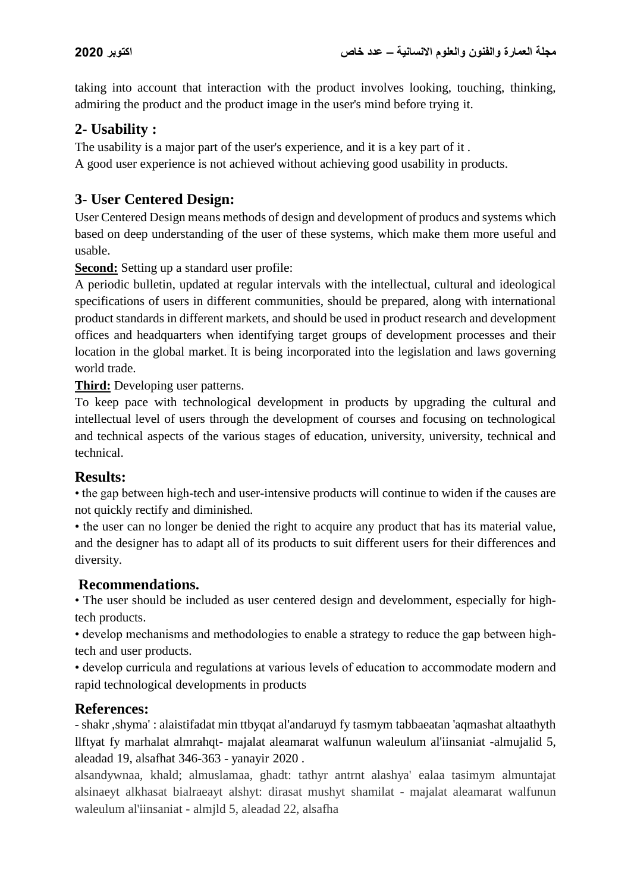taking into account that interaction with the product involves looking, touching, thinking, admiring the product and the product image in the user's mind before trying it.

## **2- Usability :**

The usability is a major part of the user's experience, and it is a key part of it .

A good user experience is not achieved without achieving good usability in products.

## **3- User Centered Design:**

User Centered Design means methods of design and development of producs and systems which based on deep understanding of the user of these systems, which make them more useful and usable.

**Second:** Setting up a standard user profile:

A periodic bulletin, updated at regular intervals with the intellectual, cultural and ideological specifications of users in different communities, should be prepared, along with international product standards in different markets, and should be used in product research and development offices and headquarters when identifying target groups of development processes and their location in the global market. It is being incorporated into the legislation and laws governing world trade.

**Third:** Developing user patterns.

To keep pace with technological development in products by upgrading the cultural and intellectual level of users through the development of courses and focusing on technological and technical aspects of the various stages of education, university, university, technical and technical.

## **Results:**

• the gap between high-tech and user-intensive products will continue to widen if the causes are not quickly rectify and diminished.

• the user can no longer be denied the right to acquire any product that has its material value, and the designer has to adapt all of its products to suit different users for their differences and diversity.

## **Recommendations.**

• The user should be included as user centered design and develomment, especially for hightech products.

• develop mechanisms and methodologies to enable a strategy to reduce the gap between hightech and user products.

• develop curricula and regulations at various levels of education to accommodate modern and rapid technological developments in products

## **References:**

- shakr ,shyma' : alaistifadat min ttbyqat al'andaruyd fy tasmym tabbaeatan 'aqmashat altaathyth llftyat fy marhalat almrahqt- majalat aleamarat walfunun waleulum al'iinsaniat -almujalid 5, aleadad 19, alsafhat 346-363 - yanayir 2020 .

alsandywnaa, khald; almuslamaa, ghadt: tathyr antrnt alashya' ealaa tasimym almuntajat alsinaeyt alkhasat bialraeayt alshyt: dirasat mushyt shamilat - majalat aleamarat walfunun waleulum al'iinsaniat - almjld 5, aleadad 22, alsafha